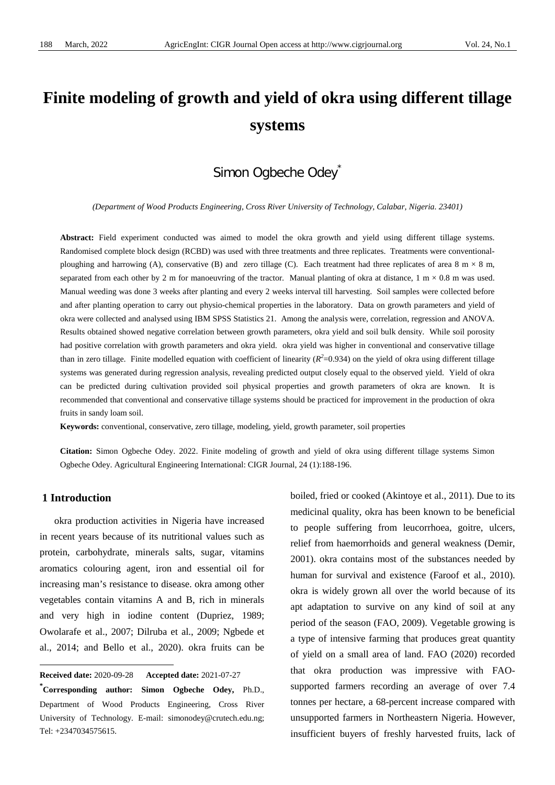# **Finite modeling of growth and yield of okra using different tillage systems**

## Simon Ogbeche Odey<sup>\*</sup>

*(Department of Wood Products Engineering, Cross River University of Technology, Calabar, Nigeria. 23401)*

**Abstract:** Field experiment conducted was aimed to model the okra growth and yield using different tillage systems. Randomised complete block design (RCBD) was used with three treatments and three replicates. Treatments were conventionalploughing and harrowing (A), conservative (B) and zero tillage (C). Each treatment had three replicates of area 8 m  $\times$  8 m, separated from each other by 2 m for manoeuvring of the tractor. Manual planting of okra at distance,  $1 \text{ m} \times 0.8 \text{ m}$  was used. Manual weeding was done 3 weeks after planting and every 2 weeks interval till harvesting. Soil samples were collected before and after planting operation to carry out physio-chemical properties in the laboratory. Data on growth parameters and yield of okra were collected and analysed using IBM SPSS Statistics 21. Among the analysis were, correlation, regression and ANOVA. Results obtained showed negative correlation between growth parameters, okra yield and soil bulk density. While soil porosity had positive correlation with growth parameters and okra yield. okra yield was higher in conventional and conservative tillage than in zero tillage. Finite modelled equation with coefficient of linearity  $(R^2=0.934)$  on the yield of okra using different tillage systems was generated during regression analysis, revealing predicted output closely equal to the observed yield. Yield of okra can be predicted during cultivation provided soil physical properties and growth parameters of okra are known. It is recommended that conventional and conservative tillage systems should be practiced for improvement in the production of okra fruits in sandy loam soil.

**Keywords:** conventional, conservative, zero tillage, modeling, yield, growth parameter, soil properties

**Citation:** Simon Ogbeche Odey. 2022. Finite modeling of growth and yield of okra using different tillage systems Simon Ogbeche Odey. Agricultural Engineering International: CIGR Journal, 24 (1):188-196.

#### **1 Introduction**

 $\overline{a}$ 

okra production activities in Nigeria have increased in recent years because of its nutritional values such as protein, carbohydrate, minerals salts, sugar, vitamins aromatics colouring agent, iron and essential oil for increasing man's resistance to disease. okra among other vegetables contain vitamins A and B, rich in minerals and very high in iodine content (Dupriez, 1989; Owolarafe et al., 2007; Dilruba et al., 2009; Ngbede et al., 2014; and Bello et al., 2020). okra fruits can be

boiled, fried or cooked (Akintoye et al., 2011). Due to its medicinal quality, okra has been known to be beneficial to people suffering from leucorrhoea, goitre, ulcers, relief from haemorrhoids and general weakness (Demir, 2001). okra contains most of the substances needed by human for survival and existence (Faroof et al., 2010). okra is widely grown all over the world because of its apt adaptation to survive on any kind of soil at any period of the season (FAO, 2009). Vegetable growing is a type of intensive farming that produces great quantity of yield on a small area of land. FAO (2020) recorded that okra production was impressive with FAOsupported farmers recording an average of over 7.4 tonnes per hectare, a 68-percent increase compared with unsupported farmers in Northeastern Nigeria. However, insufficient buyers of freshly harvested fruits, lack of

<span id="page-0-0"></span>**Received date:** 2020-09-28 **Accepted date:** 2021-07-27

**<sup>\*</sup> Corresponding author: Simon Ogbeche Odey,** Ph.D., Department of Wood Products Engineering, Cross River University of Technology. E-mail: simonodey@crutech.edu.ng; Tel: +2347034575615.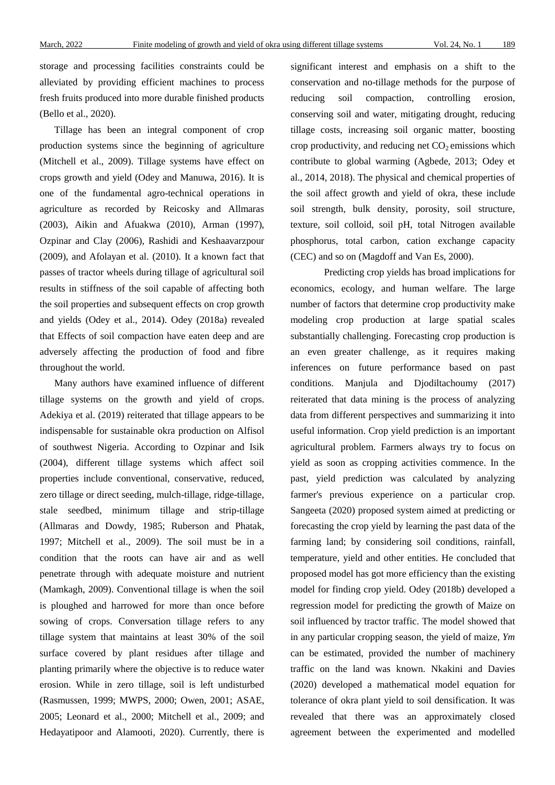storage and processing facilities constraints could be alleviated by providing efficient machines to process fresh fruits produced into more durable finished products (Bello et al., 2020).

Tillage has been an integral component of crop production systems since the beginning of agriculture (Mitchell et al., 2009). Tillage systems have effect on crops growth and yield (Odey and Manuwa, 2016). It is one of the fundamental agro-technical operations in agriculture as recorded by Reicosky and Allmaras (2003), Aikin and Afuakwa (2010), Arman (1997), Ozpinar and Clay (2006), Rashidi and Keshaavarzpour (2009), and Afolayan et al. (2010). It a known fact that passes of tractor wheels during tillage of agricultural soil results in stiffness of the soil capable of affecting both the soil properties and subsequent effects on crop growth and yields (Odey et al., 2014). Odey (2018a) revealed that Effects of soil compaction have eaten deep and are adversely affecting the production of food and fibre throughout the world.

Many authors have examined influence of different tillage systems on the growth and yield of crops. Adekiya et al. (2019) reiterated that tillage appears to be indispensable for sustainable okra production on Alfisol of southwest Nigeria. According to Ozpinar and Isik (2004), different tillage systems which affect soil properties include conventional, conservative, reduced, zero tillage or direct seeding, mulch-tillage, ridge-tillage, stale seedbed, minimum tillage and strip-tillage (Allmaras and Dowdy, 1985; Ruberson and Phatak, 1997; Mitchell et al., 2009). The soil must be in a condition that the roots can have air and as well penetrate through with adequate moisture and nutrient (Mamkagh, 2009). Conventional tillage is when the soil is ploughed and harrowed for more than once before sowing of crops. Conversation tillage refers to any tillage system that maintains at least 30% of the soil surface covered by plant residues after tillage and planting primarily where the objective is to reduce water erosion. While in zero tillage, soil is left undisturbed (Rasmussen, 1999; MWPS, 2000; Owen, 2001; ASAE, 2005; Leonard et al., 2000; Mitchell et al., 2009; and Hedayatipoor and Alamooti, 2020). Currently, there is

significant interest and emphasis on a shift to the conservation and no-tillage methods for the purpose of reducing soil compaction, controlling erosion, conserving soil and water, mitigating drought, reducing tillage costs, increasing soil organic matter, boosting crop productivity, and reducing net  $CO<sub>2</sub>$  emissions which contribute to global warming (Agbede, 2013; Odey et al., 2014, 2018). The physical and chemical properties of the soil affect growth and yield of okra, these include soil strength, bulk density, porosity, soil structure, texture, soil colloid, soil pH, total Nitrogen available phosphorus, total carbon, cation exchange capacity (CEC) and so on (Magdoff and Van Es, 2000).

Predicting crop yields has broad implications for economics, ecology, and human welfare. The large number of factors that determine crop productivity make modeling crop production at large spatial scales substantially challenging. Forecasting crop production is an even greater challenge, as it requires making inferences on future performance based on past conditions. Manjula and Djodiltachoumy (2017) reiterated that data mining is the process of analyzing data from different perspectives and summarizing it into useful information. Crop yield prediction is an important agricultural problem. Farmers always try to focus on yield as soon as cropping activities commence. In the past, yield prediction was calculated by analyzing farmer's previous experience on a particular crop. Sangeeta (2020) proposed system aimed at predicting or forecasting the crop yield by learning the past data of the farming land; by considering soil conditions, rainfall, temperature, yield and other entities. He concluded that proposed model has got more efficiency than the existing model for finding crop yield. Odey (2018b) developed a regression model for predicting the growth of Maize on soil influenced by tractor traffic. The model showed that in any particular cropping season, the yield of maize, *Ym* can be estimated, provided the number of machinery traffic on the land was known. Nkakini and Davies (2020) developed a mathematical model equation for tolerance of okra plant yield to soil densification. It was revealed that there was an approximately closed agreement between the experimented and modelled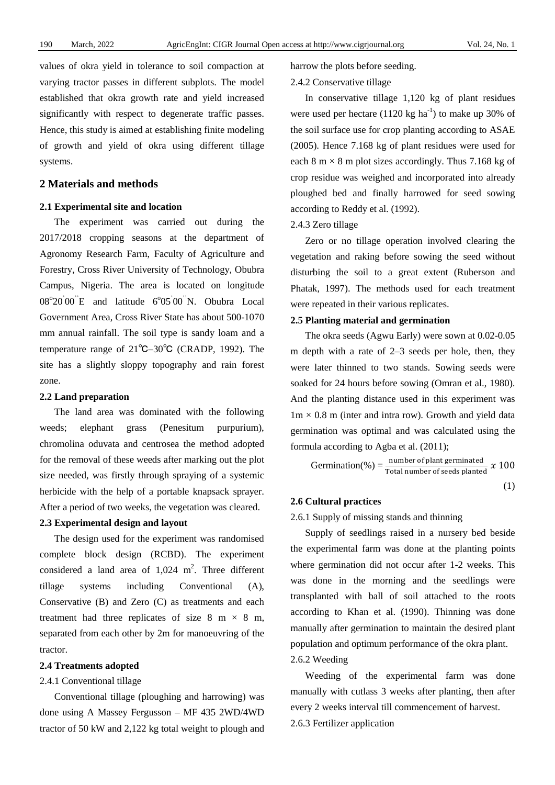values of okra yield in tolerance to soil compaction at varying tractor passes in different subplots. The model established that okra growth rate and yield increased significantly with respect to degenerate traffic passes. Hence, this study is aimed at establishing finite modeling of growth and yield of okra using different tillage systems.

#### **2 Materials and methods**

#### **2.1 Experimental site and location**

The experiment was carried out during the 2017/2018 cropping seasons at the department of Agronomy Research Farm, Faculty of Agriculture and Forestry, Cross River University of Technology, Obubra Campus, Nigeria. The area is located on longitude  $08^{\circ}20'00''E$  and latitude  $6^{\circ}05'00''N$ . Obubra Local Government Area, Cross River State has about 500-1070 mm annual rainfall. The soil type is sandy loam and a temperature range of 21℃–30℃ (CRADP, 1992). The site has a slightly sloppy topography and rain forest zone.

#### **2.2 Land preparation**

The land area was dominated with the following weeds; elephant grass (Penesitum purpurium), chromolina oduvata and centrosea the method adopted for the removal of these weeds after marking out the plot size needed, was firstly through spraying of a systemic herbicide with the help of a portable knapsack sprayer. After a period of two weeks, the vegetation was cleared.

#### **2.3 Experimental design and layout**

The design used for the experiment was randomised complete block design (RCBD). The experiment considered a land area of  $1,024$  m<sup>2</sup>. Three different tillage systems including Conventional (A), Conservative (B) and Zero (C) as treatments and each treatment had three replicates of size 8 m  $\times$  8 m, separated from each other by 2m for manoeuvring of the tractor.

#### **2.4 Treatments adopted**

#### 2.4.1 Conventional tillage

Conventional tillage (ploughing and harrowing) was done using A Massey Fergusson – MF 435 2WD/4WD tractor of 50 kW and 2,122 kg total weight to plough and harrow the plots before seeding.

#### 2.4.2 Conservative tillage

In conservative tillage 1,120 kg of plant residues were used per hectare  $(1120 \text{ kg ha}^{-1})$  to make up 30% of the soil surface use for crop planting according to ASAE (2005). Hence 7.168 kg of plant residues were used for each 8 m  $\times$  8 m plot sizes accordingly. Thus 7.168 kg of crop residue was weighed and incorporated into already ploughed bed and finally harrowed for seed sowing according to Reddy et al. (1992).

#### 2.4.3 Zero tillage

Zero or no tillage operation involved clearing the vegetation and raking before sowing the seed without disturbing the soil to a great extent (Ruberson and Phatak, 1997). The methods used for each treatment were repeated in their various replicates.

#### **2.5 Planting material and germination**

The okra seeds (Agwu Early) were sown at 0.02-0.05 m depth with a rate of 2–3 seeds per hole, then, they were later thinned to two stands. Sowing seeds were soaked for 24 hours before sowing (Omran et al., 1980). And the planting distance used in this experiment was  $1m \times 0.8$  m (inter and intra row). Growth and yield data germination was optimal and was calculated using the formula according to Agba et al. (2011);

$$
Germanation(\%) = \frac{number \ of \ plant \ germinated}{Total \ number \ of \ seeds \ planted} \ \ x \ 100
$$
\n(1)

#### **2.6 Cultural practices**

#### 2.6.1 Supply of missing stands and thinning

Supply of seedlings raised in a nursery bed beside the experimental farm was done at the planting points where germination did not occur after 1-2 weeks. This was done in the morning and the seedlings were transplanted with ball of soil attached to the roots according to Khan et al. (1990). Thinning was done manually after germination to maintain the desired plant population and optimum performance of the okra plant. 2.6.2 Weeding

Weeding of the experimental farm was done manually with cutlass 3 weeks after planting, then after every 2 weeks interval till commencement of harvest. 2.6.3 Fertilizer application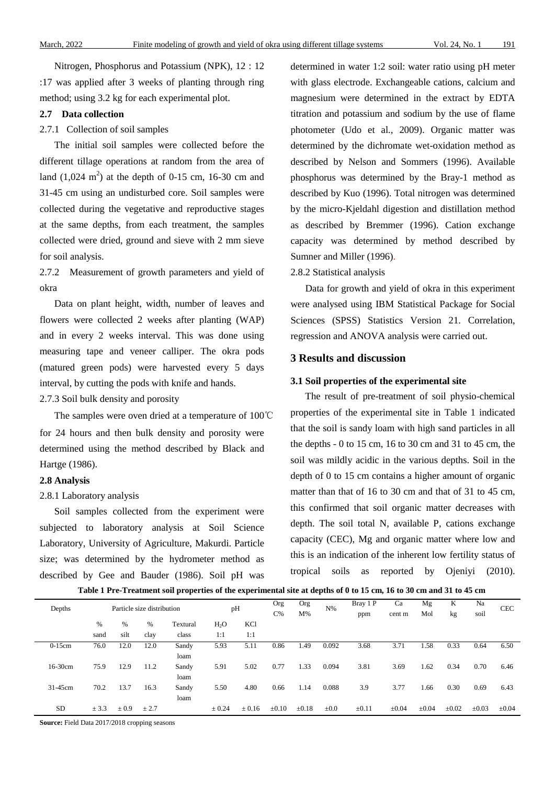Nitrogen, Phosphorus and Potassium (NPK), 12 : 12 :17 was applied after 3 weeks of planting through ring method; using 3.2 kg for each experimental plot.

#### **2.7 Data collection**

#### 2.7.1 Collection of soil samples

The initial soil samples were collected before the different tillage operations at random from the area of land  $(1,024 \text{ m}^2)$  at the depth of 0-15 cm, 16-30 cm and 31-45 cm using an undisturbed core. Soil samples were collected during the vegetative and reproductive stages at the same depths, from each treatment, the samples collected were dried, ground and sieve with 2 mm sieve for soil analysis.

2.7.2 Measurement of growth parameters and yield of okra

Data on plant height, width, number of leaves and flowers were collected 2 weeks after planting (WAP) and in every 2 weeks interval. This was done using measuring tape and veneer calliper. The okra pods (matured green pods) were harvested every 5 days interval, by cutting the pods with knife and hands. 2.7.3 Soil bulk density and porosity

The samples were oven dried at a temperature of 100℃ for 24 hours and then bulk density and porosity were determined using the method described by Black and Hartge (1986).

#### **2.8 Analysis**

#### 2.8.1 Laboratory analysis

Soil samples collected from the experiment were subjected to laboratory analysis at Soil Science Laboratory, University of Agriculture, Makurdi. Particle size; was determined by the hydrometer method as described by Gee and Bauder (1986). Soil pH was determined in water 1:2 soil: water ratio using pH meter with glass electrode. Exchangeable cations, calcium and magnesium were determined in the extract by EDTA titration and potassium and sodium by the use of flame photometer (Udo et al., 2009). Organic matter was determined by the dichromate wet-oxidation method as described by Nelson and Sommers (1996). Available phosphorus was determined by the Bray-1 method as described by Kuo (1996). Total nitrogen was determined by the micro-Kjeldahl digestion and distillation method as described by Bremmer (1996). Cation exchange capacity was determined by method described by Sumner and Miller (1996).

#### 2.8.2 Statistical analysis

Data for growth and yield of okra in this experiment were analysed using IBM Statistical Package for Social Sciences (SPSS) Statistics Version 21. Correlation, regression and ANOVA analysis were carried out.

#### **3 Results and discussion**

#### **3.1 Soil properties of the experimental site**

The result of pre-treatment of soil physio-chemical properties of the experimental site in Table 1 indicated that the soil is sandy loam with high sand particles in all the depths - 0 to 15 cm, 16 to 30 cm and 31 to 45 cm, the soil was mildly acidic in the various depths. Soil in the depth of 0 to 15 cm contains a higher amount of organic matter than that of 16 to 30 cm and that of 31 to 45 cm, this confirmed that soil organic matter decreases with depth. The soil total N, available P, cations exchange capacity (CEC), Mg and organic matter where low and this is an indication of the inherent low fertility status of tropical soils as reported by Ojeniyi (2010).

|  | Table 1 Pre-Treatment soil properties of the experimental site at depths of 0 to 15 cm, 16 to 30 cm and 31 to 45 cm |
|--|---------------------------------------------------------------------------------------------------------------------|
|  |                                                                                                                     |

| Depths    |       |           | Particle size distribution |          | pH         |            | Org<br>$C\%$ | Org<br>$M\%$ | $N\%$     | Bray 1 P<br>ppm | Ca<br>cent m | Mg<br>Mol  | K<br>kg    | Na<br>soil | <b>CEC</b> |
|-----------|-------|-----------|----------------------------|----------|------------|------------|--------------|--------------|-----------|-----------------|--------------|------------|------------|------------|------------|
|           | %     | %         | $\%$                       | Textural | $H_2O$     | <b>KCl</b> |              |              |           |                 |              |            |            |            |            |
|           | sand  | silt      | clay                       | class    | 1:1        | 1:1        |              |              |           |                 |              |            |            |            |            |
| $0-15$ cm | 76.0  | 12.0      | 12.0                       | Sandy    | 5.93       | 5.11       | 0.86         | 1.49         | 0.092     | 3.68            | 3.71         | 1.58       | 0.33       | 0.64       | 6.50       |
|           |       |           |                            | loam     |            |            |              |              |           |                 |              |            |            |            |            |
| 16-30cm   | 75.9  | 12.9      | 11.2                       | Sandy    | 5.91       | 5.02       | 0.77         | 1.33         | 0.094     | 3.81            | 3.69         | 1.62       | 0.34       | 0.70       | 6.46       |
|           |       |           |                            | loam     |            |            |              |              |           |                 |              |            |            |            |            |
| 31-45cm   | 70.2  | 13.7      | 16.3                       | Sandy    | 5.50       | 4.80       | 0.66         | 1.14         | 0.088     | 3.9             | 3.77         | 1.66       | 0.30       | 0.69       | 6.43       |
|           |       |           |                            | loam     |            |            |              |              |           |                 |              |            |            |            |            |
| <b>SD</b> | ± 3.3 | $\pm 0.9$ | ± 2.7                      |          | $\pm 0.24$ | $\pm 0.16$ | $\pm 0.10$   | $\pm 0.18$   | $\pm 0.0$ | $\pm 0.11$      | $\pm 0.04$   | $\pm 0.04$ | $\pm 0.02$ | $\pm 0.03$ | $\pm 0.04$ |

**Source:** Field Data 2017/2018 cropping seasons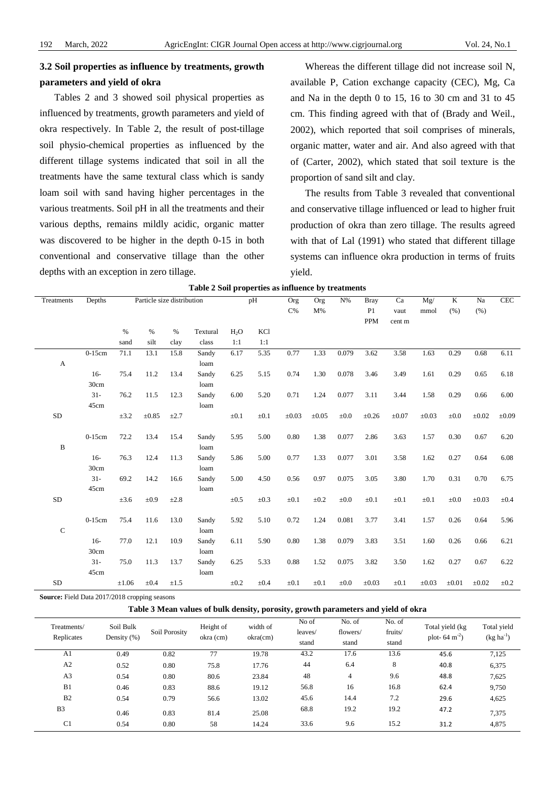## **3.2 Soil properties as influence by treatments, growth parameters and yield of okra**

Tables 2 and 3 showed soil physical properties as influenced by treatments, growth parameters and yield of okra respectively. In Table 2, the result of post-tillage soil physio-chemical properties as influenced by the different tillage systems indicated that soil in all the treatments have the same textural class which is sandy loam soil with sand having higher percentages in the various treatments. Soil pH in all the treatments and their various depths, remains mildly acidic, organic matter was discovered to be higher in the depth 0-15 in both conventional and conservative tillage than the other depths with an exception in zero tillage.

Whereas the different tillage did not increase soil N, available P, Cation exchange capacity (CEC), Mg, Ca and Na in the depth 0 to 15, 16 to 30 cm and 31 to  $45$ cm. This finding agreed with that of (Brady and Weil., 2002), which reported that soil comprises of minerals, organic matter, water and air. And also agreed with that of (Carter, 2002), which stated that soil texture is the proportion of sand silt and clay.

The results from Table 3 revealed that conventional and conservative tillage influenced or lead to higher fruit production of okra than zero tillage. The results agreed with that of Lal (1991) who stated that different tillage systems can influence okra production in terms of fruits yield.

| Treatments                | Depths    |            | Particle size distribution |           |               |                  | pH         | Org        | Org        | $N\%$     | <b>Bray</b>    | Ca         | Mg/        | $\overline{K}$ | Na         | CEC        |
|---------------------------|-----------|------------|----------------------------|-----------|---------------|------------------|------------|------------|------------|-----------|----------------|------------|------------|----------------|------------|------------|
|                           |           |            |                            |           |               |                  |            | $C\%$      | M%         |           | P <sub>1</sub> | vaut       | mmol       | (% )           | (% )       |            |
|                           |           |            |                            |           |               |                  |            |            |            |           | <b>PPM</b>     | cent m     |            |                |            |            |
|                           |           | $\%$       | $\%$                       | $\%$      | Textural      | H <sub>2</sub> O | <b>KCl</b> |            |            |           |                |            |            |                |            |            |
|                           |           | sand       | silt                       | clay      | class         | 1:1              | 1:1        |            |            |           |                |            |            |                |            |            |
| $\boldsymbol{\mathsf{A}}$ | $0-15cm$  | 71.1       | 13.1                       | 15.8      | Sandy<br>loam | 6.17             | 5.35       | 0.77       | 1.33       | 0.079     | 3.62           | 3.58       | 1.63       | 0.29           | 0.68       | 6.11       |
|                           | $16-$     | 75.4       | 11.2                       | 13.4      | Sandy         | 6.25             | 5.15       | 0.74       | 1.30       | 0.078     | 3.46           | 3.49       | 1.61       | 0.29           | 0.65       | 6.18       |
|                           | 30cm      |            |                            |           | loam          |                  |            |            |            |           |                |            |            |                |            |            |
|                           | $31 -$    | 76.2       | 11.5                       | 12.3      | Sandy         | 6.00             | 5.20       | 0.71       | 1.24       | 0.077     | 3.11           | 3.44       | 1.58       | 0.29           | 0.66       | 6.00       |
|                           | 45cm      |            |                            |           | loam          |                  |            |            |            |           |                |            |            |                |            |            |
| $\rm SD$                  |           | $\pm 3.2$  | $\pm 0.85$                 | $\pm 2.7$ |               | $\pm 0.1$        | $\pm 0.1$  | $\pm 0.03$ | $\pm 0.05$ | $\pm 0.0$ | $\pm 0.26$     | $\pm 0.07$ | $\pm 0.03$ | $\pm 0.0$      | $\pm 0.02$ | $\pm 0.09$ |
|                           | $0-15$ cm | 72.2       | 13.4                       | 15.4      | Sandy         | 5.95             | 5.00       | 0.80       | 1.38       | 0.077     | 2.86           | 3.63       | 1.57       | 0.30           | 0.67       | 6.20       |
| B                         |           |            |                            |           | loam          |                  |            |            |            |           |                |            |            |                |            |            |
|                           | $16-$     | 76.3       | 12.4                       | 11.3      | Sandy         | 5.86             | 5.00       | 0.77       | 1.33       | 0.077     | 3.01           | 3.58       | 1.62       | 0.27           | 0.64       | 6.08       |
|                           | 30cm      |            |                            |           | loam          |                  |            |            |            |           |                |            |            |                |            |            |
|                           | $31 -$    | 69.2       | 14.2                       | 16.6      | Sandy         | 5.00             | 4.50       | 0.56       | 0.97       | 0.075     | 3.05           | 3.80       | 1.70       | 0.31           | 0.70       | 6.75       |
|                           | 45cm      |            |                            |           | loam          |                  |            |            |            |           |                |            |            |                |            |            |
| SD                        |           | $\pm 3.6$  | ±0.9                       | $\pm 2.8$ |               | $\pm 0.5$        | $\pm 0.3$  | $\pm 0.1$  | $\pm 0.2$  | $\pm 0.0$ | $\pm 0.1$      | $\pm 0.1$  | $\pm 0.1$  | $\pm 0.0$      | $\pm 0.03$ | ±0.4       |
|                           | $0-15$ cm | 75.4       | 11.6                       | 13.0      | Sandy         | 5.92             | 5.10       | 0.72       | 1.24       | 0.081     | 3.77           | 3.41       | 1.57       | 0.26           | 0.64       | 5.96       |
| $\mathbf C$               |           |            |                            |           | loam          |                  |            |            |            |           |                |            |            |                |            |            |
|                           | $16-$     | 77.0       | 12.1                       | 10.9      | Sandy         | 6.11             | 5.90       | 0.80       | 1.38       | 0.079     | 3.83           | 3.51       | 1.60       | 0.26           | 0.66       | 6.21       |
|                           | 30cm      |            |                            |           | loam          |                  |            |            |            |           |                |            |            |                |            |            |
|                           | $31 -$    | 75.0       | 11.3                       | 13.7      | Sandy         | 6.25             | 5.33       | 0.88       | 1.52       | 0.075     | 3.82           | 3.50       | 1.62       | 0.27           | 0.67       | 6.22       |
|                           | 45cm      |            |                            |           | loam          |                  |            |            |            |           |                |            |            |                |            |            |
| <b>SD</b>                 |           | $\pm 1.06$ | $\pm 0.4$                  | $\pm 1.5$ |               | $\pm 0.2$        | $\pm 0.4$  | $\pm 0.1$  | $\pm 0.1$  | $\pm 0.0$ | $\pm 0.03$     | $\pm 0.1$  | $\pm 0.03$ | $\pm 0.01$     | $\pm 0.02$ | $\pm 0.2$  |

| Table 2 Soil properties as influence by treatments |  |  |  |  |
|----------------------------------------------------|--|--|--|--|
|----------------------------------------------------|--|--|--|--|

**Source:** Field Data 2017/2018 cropping seasons

#### **Table 3 Mean values of bulk density, porosity, growth parameters and yield of okra**

| Treatments/<br>Replicates | Soil Bulk<br>Density $(\%)$ | Soil Porosity | Height of<br>okra (cm) | width of<br>okra(cm) | No of<br>leaves/<br>stand | No. of<br>flowers/<br>stand | No. of<br>fruits/<br>stand | Total yield (kg)<br>plot- $64 \text{ m}^{-2}$ ) | Total yield<br>$(kg ha-1)$ |
|---------------------------|-----------------------------|---------------|------------------------|----------------------|---------------------------|-----------------------------|----------------------------|-------------------------------------------------|----------------------------|
| A <sub>1</sub>            | 0.49                        | 0.82          | 77                     | 19.78                | 43.2                      | 17.6                        | 13.6                       | 45.6                                            | 7,125                      |
| A <sub>2</sub>            | 0.52                        | 0.80          | 75.8                   | 17.76                | 44                        | 6.4                         | 8                          | 40.8                                            | 6,375                      |
| A <sub>3</sub>            | 0.54                        | 0.80          | 80.6                   | 23.84                | 48                        | $\overline{4}$              | 9.6                        | 48.8                                            | 7,625                      |
| B1                        | 0.46                        | 0.83          | 88.6                   | 19.12                | 56.8                      | 16                          | 16.8                       | 62.4                                            | 9,750                      |
| B <sub>2</sub>            | 0.54                        | 0.79          | 56.6                   | 13.02                | 45.6                      | 14.4                        | 7.2                        | 29.6                                            | 4,625                      |
| B <sub>3</sub>            | 0.46                        | 0.83          | 81.4                   | 25.08                | 68.8                      | 19.2                        | 19.2                       | 47.2                                            | 7,375                      |
| C <sub>1</sub>            | 0.54                        | 0.80          | 58                     | 14.24                | 33.6                      | 9.6                         | 15.2                       | 31.2                                            | 4,875                      |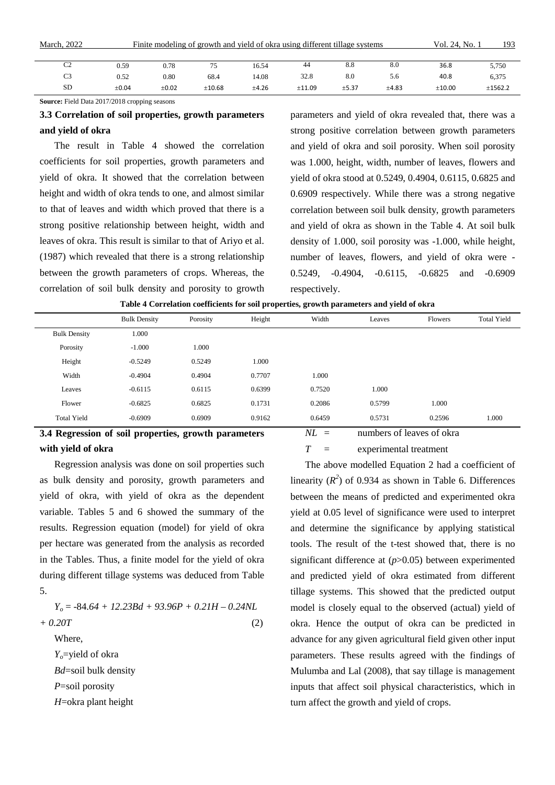| March, 2022    | Finite modeling of growth and yield of okra using different tillage systems |            |        |       |        |       |       |             | 193     |
|----------------|-----------------------------------------------------------------------------|------------|--------|-------|--------|-------|-------|-------------|---------|
|                |                                                                             |            |        |       |        |       |       |             |         |
| C <sub>2</sub> | 0.59                                                                        | 0.78       |        | 16.54 | 44     | 8.8   | 8.0   | 36.8        | 5,750   |
| C <sub>3</sub> | 0.52                                                                        | 0.80       | 68.4   | 14.08 | 32.8   | 8.0   | 5.6   | 40.8        | 6,375   |
| <b>SD</b>      | $\pm 0.04$                                                                  | $\pm 0.02$ | ±10.68 | ±4.26 | ±11.09 | ±5.37 | ±4.83 | $\pm 10.00$ | ±1562.2 |

**Source:** Field Data 2017/2018 cropping seasons

## **3.3 Correlation of soil properties, growth parameters and yield of okra**

The result in Table 4 showed the correlation coefficients for soil properties, growth parameters and yield of okra. It showed that the correlation between height and width of okra tends to one, and almost similar to that of leaves and width which proved that there is a strong positive relationship between height, width and leaves of okra. This result is similar to that of Ariyo et al. (1987) which revealed that there is a strong relationship between the growth parameters of crops. Whereas, the correlation of soil bulk density and porosity to growth parameters and yield of okra revealed that, there was a strong positive correlation between growth parameters and yield of okra and soil porosity. When soil porosity was 1.000, height, width, number of leaves, flowers and yield of okra stood at 0.5249, 0.4904, 0.6115, 0.6825 and 0.6909 respectively. While there was a strong negative correlation between soil bulk density, growth parameters and yield of okra as shown in the Table 4. At soil bulk density of 1.000, soil porosity was -1.000, while height, number of leaves, flowers, and yield of okra were - 0.5249, -0.4904, -0.6115, -0.6825 and -0.6909 respectively.

|                                                                                             | <b>Bulk Density</b> | Porosity | Height | Width  | Leaves | <b>Flowers</b> | <b>Total Yield</b> |  |  |  |
|---------------------------------------------------------------------------------------------|---------------------|----------|--------|--------|--------|----------------|--------------------|--|--|--|
| <b>Bulk Density</b>                                                                         | 1.000               |          |        |        |        |                |                    |  |  |  |
| Porosity                                                                                    | $-1.000$            | 1.000    |        |        |        |                |                    |  |  |  |
| Height                                                                                      | $-0.5249$           | 0.5249   | 1.000  |        |        |                |                    |  |  |  |
| Width                                                                                       | $-0.4904$           | 0.4904   | 0.7707 | 1.000  |        |                |                    |  |  |  |
| Leaves                                                                                      | $-0.6115$           | 0.6115   | 0.6399 | 0.7520 | 1.000  |                |                    |  |  |  |
| Flower                                                                                      | $-0.6825$           | 0.6825   | 0.1731 | 0.2086 | 0.5799 | 1.000          |                    |  |  |  |
| <b>Total Yield</b>                                                                          | $-0.6909$           | 0.6909   | 0.9162 | 0.6459 | 0.5731 | 0.2596         | 1.000              |  |  |  |
| $NL =$<br>numbers of leaves of okra<br>3.4 Regression of soil properties, growth parameters |                     |          |        |        |        |                |                    |  |  |  |

### **Table 4 Correlation coefficients for soil properties, growth parameters and yield of okra**

## **3.4 Regression of soil properties, growth parameters with yield of okra**

Regression analysis was done on soil properties such as bulk density and porosity, growth parameters and yield of okra, with yield of okra as the dependent variable. Tables 5 and 6 showed the summary of the results. Regression equation (model) for yield of okra per hectare was generated from the analysis as recorded in the Tables. Thus, a finite model for the yield of okra during different tillage systems was deduced from Table 5.

*Yo* = -84.*64 + 12.23Bd + 93.96P + 0.21H – 0.24NL + 0.20T* (2) Where, *Y*<sub>o</sub>=yield of okra *Bd*=soil bulk density *P*=soil porosity *H*=okra plant height

*T* = experimental treatment

The above modelled Equation 2 had a coefficient of linearity  $(R^2)$  of 0.934 as shown in Table 6. Differences between the means of predicted and experimented okra yield at 0.05 level of significance were used to interpret and determine the significance by applying statistical tools. The result of the t-test showed that, there is no significant difference at (*p*>0.05) between experimented and predicted yield of okra estimated from different tillage systems. This showed that the predicted output model is closely equal to the observed (actual) yield of okra. Hence the output of okra can be predicted in advance for any given agricultural field given other input parameters. These results agreed with the findings of Mulumba and Lal (2008), that say tillage is management inputs that affect soil physical characteristics, which in turn affect the growth and yield of crops.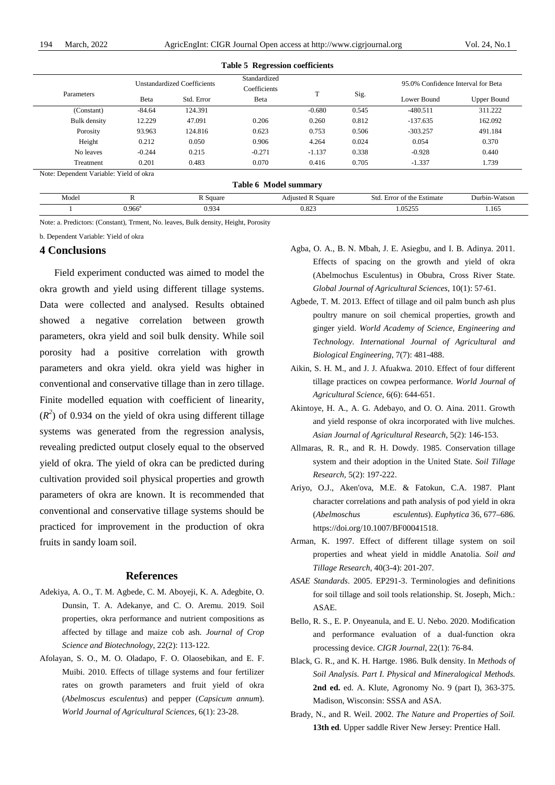|                     | Standardized<br><b>Unstandardized Coefficients</b><br>Coefficients<br>T<br>Std. Error<br>Beta<br>Beta |         |          |             |             | 95.0% Confidence Interval for Beta |         |  |
|---------------------|-------------------------------------------------------------------------------------------------------|---------|----------|-------------|-------------|------------------------------------|---------|--|
| Parameters          |                                                                                                       |         | Sig.     | Lower Bound | Upper Bound |                                    |         |  |
| (Constant)          | $-84.64$                                                                                              | 124.391 |          | $-0.680$    | 0.545       | $-480.511$                         | 311.222 |  |
| <b>Bulk</b> density | 12.229                                                                                                | 47.091  | 0.206    | 0.260       | 0.812       | $-137.635$                         | 162.092 |  |
| Porosity            | 93.963                                                                                                | 124.816 | 0.623    | 0.753       | 0.506       | $-303.257$                         | 491.184 |  |
| Height              | 0.212                                                                                                 | 0.050   | 0.906    | 4.264       | 0.024       | 0.054                              | 0.370   |  |
| No leaves           | $-0.244$                                                                                              | 0.215   | $-0.271$ | $-1.137$    | 0.338       | $-0.928$                           | 0.440   |  |
| Treatment           | 0.201                                                                                                 | 0.483   | 0.070    | 0.416       | 0.705       | $-1.337$                           | 1.739   |  |

| <b>Table 6 Model summary</b> |           |          |                          |                            |               |  |  |  |  |  |
|------------------------------|-----------|----------|--------------------------|----------------------------|---------------|--|--|--|--|--|
| Model                        |           | R Sauare | <b>Adjusted R Square</b> | Std. Error of the Estimate | Durbin-Watson |  |  |  |  |  |
|                              | $0.966^a$ | 0.934    | 0.823                    | .05255                     | 1.165         |  |  |  |  |  |

Note: a. Predictors: (Constant), Trment, No. leaves, Bulk density, Height, Porosity

b. Dependent Variable: Yield of okra

#### **4 Conclusions**

Field experiment conducted was aimed to model the okra growth and yield using different tillage systems. Data were collected and analysed. Results obtained showed a negative correlation between growth parameters, okra yield and soil bulk density. While soil porosity had a positive correlation with growth parameters and okra yield. okra yield was higher in conventional and conservative tillage than in zero tillage. Finite modelled equation with coefficient of linearity,  $(R<sup>2</sup>)$  of 0.934 on the yield of okra using different tillage systems was generated from the regression analysis, revealing predicted output closely equal to the observed yield of okra. The yield of okra can be predicted during cultivation provided soil physical properties and growth parameters of okra are known. It is recommended that conventional and conservative tillage systems should be practiced for improvement in the production of okra fruits in sandy loam soil.

#### **References**

- Adekiya, A. O., T. M. Agbede, C. M. Aboyeji, K. A. Adegbite, O. Dunsin, T. A. Adekanye, and C. O. Aremu. 2019. Soil properties, okra performance and nutrient compositions as affected by tillage and maize cob ash. *Journal of Crop Science and Biotechnology*, 22(2): 113-122.
- Afolayan, S. O., M. O. Oladapo, F. O. Olaosebikan, and E. F. Muibi. 2010. Effects of tillage systems and four fertilizer rates on growth parameters and fruit yield of okra (*Abelmoscus esculentus*) and pepper (*Capsicum annum*). *World Journal of Agricultural Sciences*, 6(1): 23-28.
- Agba, O. A., B. N. Mbah, J. E. Asiegbu, and I. B. Adinya. 2011. Effects of spacing on the growth and yield of okra (Abelmochus Esculentus) in Obubra, Cross River State. *Global Journal of Agricultural Sciences*, 10(1): 57-61.
- Agbede, T. M. 2013. Effect of tillage and oil palm bunch ash plus poultry manure on soil chemical properties, growth and ginger yield. *World Academy of Science, Engineering and Technology*. *International Journal of Agricultural and Biological Engineering*, 7(7): 481-488.
- Aikin, S. H. M., and J. J. Afuakwa. 2010. Effect of four different tillage practices on cowpea performance. *World Journal of Agricultural Science*, 6(6): 644-651.
- Akintoye, H. A., A. G. Adebayo, and O. O. Aina. 2011. Growth and yield response of okra incorporated with live mulches. *Asian Journal of Agricultural Research*, 5(2): 146-153.
- Allmaras, R. R., and R. H. Dowdy. 1985. Conservation tillage system and their adoption in the United State. *Soil Tillage Research,* 5(2): 197-222.
- Ariyo, O.J., Aken'ova, M.E. & Fatokun, C.A. 1987. Plant character correlations and path analysis of pod yield in okra (*Abelmoschus esculentus*). *Euphytica* 36, 677–686. https://doi.org/10.1007/BF00041518.
- Arman, K. 1997. Effect of different tillage system on soil properties and wheat yield in middle Anatolia. *Soil and Tillage Research*, 40(3-4): 201-207.
- *ASAE Standards*. 2005. EP291-3. Terminologies and definitions for soil tillage and soil tools relationship. St. Joseph, Mich.: ASAE.
- Bello, R. S., E. P. Onyeanula, and E. U. Nebo. 2020. Modification and performance evaluation of a dual-function okra processing device. *CIGR Journal*, 22(1): 76-84.
- Black, G. R., and K. H. Hartge. 1986. Bulk density. In *Methods of Soil Analysis. Part I. Physical and Mineralogical Methods*. **2nd ed.** ed. A. Klute, Agronomy No. 9 (part I), 363-375. Madison, Wisconsin: SSSA and ASA.
- Brady, N., and R. Weil. 2002. *The Nature and Properties of Soil.* **13th ed**. Upper saddle River New Jersey: Prentice Hall.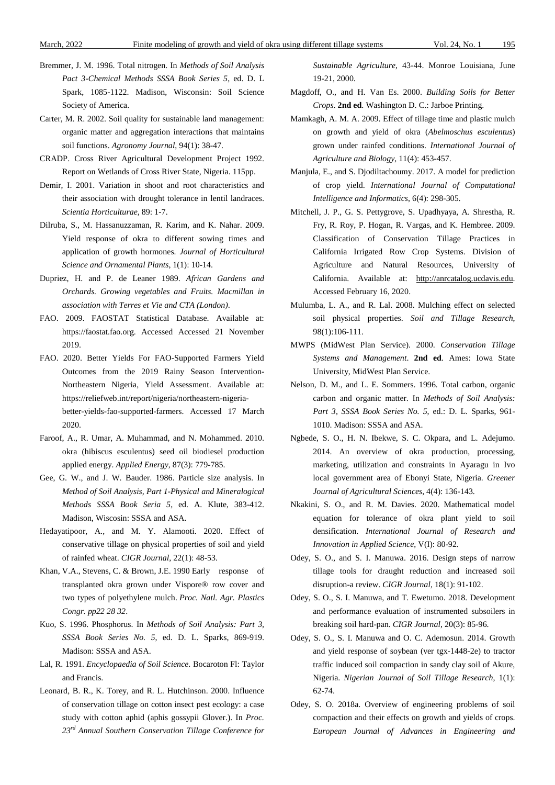- Bremmer, J. M. 1996. Total nitrogen. In *Methods of Soil Analysis Pact 3-Chemical Methods SSSA Book Series 5*, ed. D. L Spark, 1085-1122. Madison, Wisconsin: Soil Science Society of America.
- Carter, M. R. 2002. Soil quality for sustainable land management: organic matter and aggregation interactions that maintains soil functions. *Agronomy Journal*, 94(1): 38-47.
- CRADP. Cross River Agricultural Development Project 1992. Report on Wetlands of Cross River State, Nigeria. 115pp.
- Demir, I. 2001. Variation in shoot and root characteristics and their association with drought tolerance in lentil landraces. *Scientia Horticulturae*, 89: 1-7.
- Dilruba, S., M. Hassanuzzaman, R. Karim, and K. Nahar. 2009. Yield response of okra to different sowing times and application of growth hormones. *Journal of Horticultural Science and Ornamental Plants*, 1(1): 10-14.
- Dupriez, H. and P. de Leaner 1989. *African Gardens and Orchards. Growing vegetables and Fruits. Macmillan in association with Terres et Vie and CTA (London)*.
- FAO. 2009. FAOSTAT Statistical Database. Available at: https://faostat.fao.org. Accessed Accessed 21 November 2019.
- FAO. 2020. Better Yields For FAO-Supported Farmers Yield Outcomes from the 2019 Rainy Season Intervention-Northeastern Nigeria, Yield Assessment. Available at: https://reliefweb.int/report/nigeria/northeastern-nigeriabetter-yields-fao-supported-farmers. Accessed 17 March 2020.
- Faroof, A., R. Umar, A. Muhammad, and N. Mohammed. 2010. okra (hibiscus esculentus) seed oil biodiesel production applied energy. *Applied Energy*, 87(3): 779-785.
- Gee, G. W., and J. W. Bauder. 1986. Particle size analysis. In *Method of Soil Analysis, Part 1-Physical and Mineralogical Methods SSSA Book Seria 5*, ed. A. Klute, 383-412. Madison, Wiscosin: SSSA and ASA.
- Hedayatipoor, A., and M. Y. Alamooti. 2020. Effect of conservative tillage on physical properties of soil and yield of rainfed wheat. *CIGR Journal*, 22(1): 48-53.
- Khan, V.A., Stevens, C. & Brown, J.E. 1990 Early response of transplanted okra grown under Vispore® row cover and two types of polyethylene mulch. *Proc. Natl. Agr. Plastics Congr. pp22 28 32*.
- Kuo, S. 1996. Phosphorus. In *Methods of Soil Analysis: Part 3, SSSA Book Series No. 5*, ed. D. L. Sparks, 869-919. Madison: SSSA and ASA.
- Lal, R. 1991. *Encyclopaedia of Soil Science*. Bocaroton Fl: Taylor and Francis.
- Leonard, B. R., K. Torey, and R. L. Hutchinson. 2000. Influence of conservation tillage on cotton insect pest ecology: a case study with cotton aphid (aphis gossypii Glover.). In *Proc. 23rd Annual Southern Conservation Tillage Conference for*

*Sustainable Agriculture*, 43-44. Monroe Louisiana, June 19-21, 2000.

- Magdoff, O., and H. Van Es. 2000. *Building Soils for Better Crops*. **2nd ed**. Washington D. C.: Jarboe Printing.
- Mamkagh, A. M. A. 2009. Effect of tillage time and plastic mulch on growth and yield of okra (*Abelmoschus esculentus*) grown under rainfed conditions. *International Journal of Agriculture and Biology*, 11(4): 453-457.
- Manjula, E., and S. Djodiltachoumy. 2017. A model for prediction of crop yield. *International Journal of Computational Intelligence and Informatics*, 6(4): 298-305.
- Mitchell, J. P., G. S. Pettygrove, S. Upadhyaya, A. Shrestha, R. Fry, R. Roy, P. Hogan, R. Vargas, and K. Hembree. 2009. Classification of Conservation Tillage Practices in California Irrigated Row Crop Systems. Division of Agriculture and Natural Resources, University of California. Available at: [http://anrcatalog.ucdavis.edu.](http://anrcatalog.ucdavis.edu/)  Accessed February 16, 2020.
- Mulumba, L. A., and R. Lal. 2008. Mulching effect on selected soil physical properties. *Soil and Tillage Research*, 98(1):106-111.
- MWPS (MidWest Plan Service). 2000. *Conservation Tillage Systems and Management*. **2nd ed**. Ames: Iowa State University, MidWest Plan Service.
- Nelson, D. M., and L. E. Sommers. 1996. Total carbon, organic carbon and organic matter. In *Methods of Soil Analysis: Part 3, SSSA Book Series No. 5*, ed.: D. L. Sparks, 961- 1010. Madison: SSSA and ASA.
- Ngbede, S. O., H. N. Ibekwe, S. C. Okpara, and L. Adejumo. 2014. An overview of okra production, processing, marketing, utilization and constraints in Ayaragu in Ivo local government area of Ebonyi State, Nigeria. *Greener Journal of Agricultural Sciences*, 4(4): 136-143.
- Nkakini, S. O., and R. M. Davies. 2020. Mathematical model equation for tolerance of okra plant yield to soil densification. *International Journal of Research and Innovation in Applied Science*, V(I): 80-92.
- Odey, S. O., and S. I. Manuwa. 2016. Design steps of narrow tillage tools for draught reduction and increased soil disruption-a review. *CIGR Journal*, 18(1): 91-102.
- Odey, S. O., S. I. Manuwa, and T. Ewetumo. 2018. Development and performance evaluation of instrumented subsoilers in breaking soil hard-pan. *CIGR Journal*, 20(3): 85-96.
- Odey, S. O., S. I. Manuwa and O. C. Ademosun. 2014. Growth and yield response of soybean (ver tgx-1448-2e) to tractor traffic induced soil compaction in sandy clay soil of Akure, Nigeria. *Nigerian Journal of Soil Tillage Research*, 1(1): 62-74.
- Odey, S. O. 2018a. Overview of engineering problems of soil compaction and their effects on growth and yields of crops. *European Journal of Advances in Engineering and*